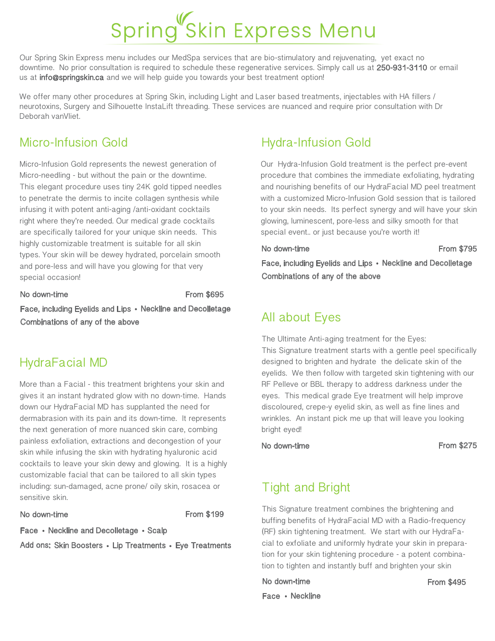# Spring Skin Express Menu

Our Spring Skin Express menu includes our MedSpa services that are bio-stimulatory and rejuvenating, yet exact no downtime. No prior consultation is required to schedule these regenerative services. Simply call us at 250-931-3110 or email us at **info@springskin.ca** and we will help quide you towards your best treatment option!

We offer many other procedures at Spring Skin, including Light and Laser based treatments, injectables with HA fillers / neurotoxins, Surgery and Silhouette InstaLift threading. These services are nuanced and require prior consultation with Dr Deborah vanVliet.

## Micro-Infusion Gold

Micro-Infusion Gold represents the newest generation of Micro-needling - but without the pain or the downtime. This elegant procedure uses tiny 24K gold tipped needles to penetrate the dermis to incite collagen synthesis while infusing it with potent anti-aging /anti-oxidant cocktails right where they're needed. Our medical grade cocktails are specifically tailored for your unique skin needs. This highly customizable treatment is suitable for all skin types. Your skin will be dewey hydrated, porcelain smooth and pore-less and will have you glowing for that very special occasion!

#### No down-time From \$695

Face, including Eyelids and Lips • Neckline and Decolletage Combinations of any of the above

### HydraFacial MD

More than a Facial - this treatment brightens your skin and gives it an instant hydrated glow with no down-time. Hands down our HydraFacial MD has supplanted the need for dermabrasion with its pain and its down-time. It represents the next generation of more nuanced skin care, combing painless exfoliation, extractions and decongestion of your skin while infusing the skin with hydrating hyaluronic acid cocktails to leave your skin dewy and glowing. It is a highly customizable facial that can be tailored to all skin types including: sun-damaged, acne prone/ oily skin, rosacea or sensitive skin.

#### No down-time From \$199

Face • Neckline and Decolletage • Scalp

Add ons: Skin Boosters • Lip Treatments • Eye Treatments

# Hydra-Infusion Gold

Our Hydra-Infusion Gold treatment is the perfect pre-event procedure that combines the immediate exfoliating, hydrating and nourishing benefits of our HydraFacial MD peel treatment with a customized Micro-Infusion Gold session that is tailored to your skin needs. Its perfect synergy and will have your skin glowing, luminescent, pore-less and silky smooth for that special event.. or just because you're worth it!

No down-time **From \$795** 

Face, including Eyelids and Lips • Neckline and Decolletage Combinations of any of the above

## All about Eyes

The Ultimate Anti-aging treatment for the Eyes: This Signature treatment starts with a gentle peel specifically designed to brighten and hydrate the delicate skin of the eyelids. We then follow with targeted skin tightening with our RF Pelleve or BBL therapy to address darkness under the eyes. This medical grade Eye treatment will help improve discoloured, crepe-y eyelid skin, as well as fine lines and wrinkles. An instant pick me up that will leave you looking bright eyed!

No down-time From \$275

# Tight and Bright

This Signature treatment combines the brightening and buffing benefits of HydraFacial MD with a Radio-frequency (RF) skin tightening treatment. We start with our HydraFacial to exfoliate and uniformly hydrate your skin in preparation for your skin tightening procedure - a potent combination to tighten and instantly buff and brighten your skin

No down-time From \$495

Face · Neckline